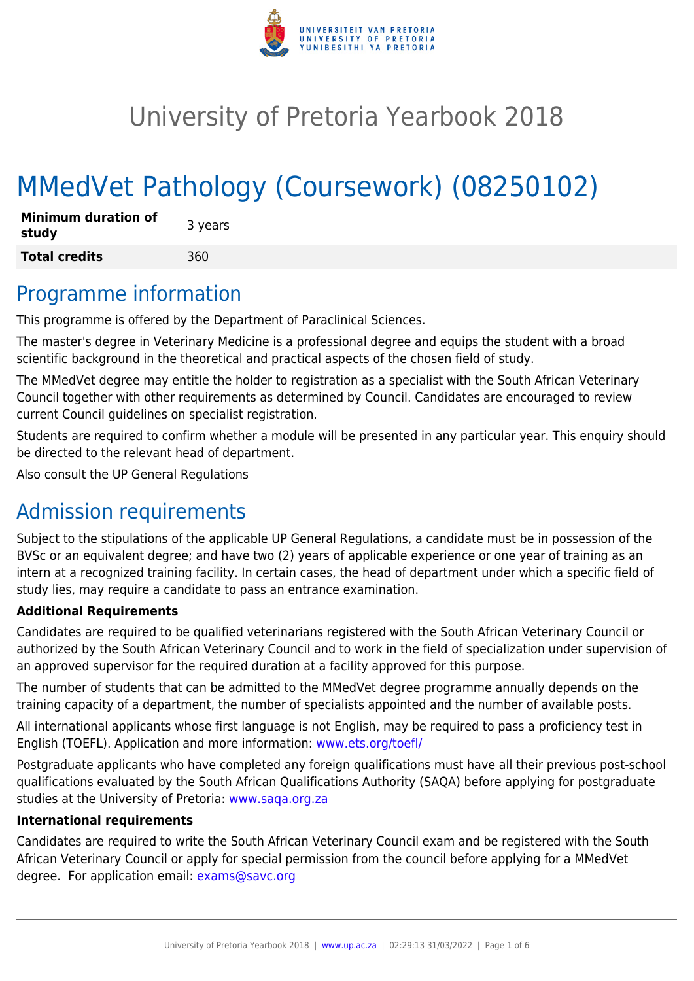

# University of Pretoria Yearbook 2018

# MMedVet Pathology (Coursework) (08250102)

| <b>Minimum duration of</b><br>study | 3 years |
|-------------------------------------|---------|
| <b>Total credits</b>                | 360     |

### Programme information

This programme is offered by the Department of Paraclinical Sciences.

The master's degree in Veterinary Medicine is a professional degree and equips the student with a broad scientific background in the theoretical and practical aspects of the chosen field of study.

The MMedVet degree may entitle the holder to registration as a specialist with the South African Veterinary Council together with other requirements as determined by Council. Candidates are encouraged to review current Council guidelines on specialist registration.

Students are required to confirm whether a module will be presented in any particular year. This enquiry should be directed to the relevant head of department.

Also consult the UP General Regulations

# Admission requirements

Subject to the stipulations of the applicable UP General Regulations, a candidate must be in possession of the BVSc or an equivalent degree; and have two (2) years of applicable experience or one year of training as an intern at a recognized training facility. In certain cases, the head of department under which a specific field of study lies, may require a candidate to pass an entrance examination.

#### **Additional Requirements**

Candidates are required to be qualified veterinarians registered with the South African Veterinary Council or authorized by the South African Veterinary Council and to work in the field of specialization under supervision of an approved supervisor for the required duration at a facility approved for this purpose.

The number of students that can be admitted to the MMedVet degree programme annually depends on the training capacity of a department, the number of specialists appointed and the number of available posts.

All international applicants whose first language is not English, may be required to pass a proficiency test in English (TOEFL). Application and more information: [www.ets.org/toefl/](http://www.ets.org/toefl/)

Postgraduate applicants who have completed any foreign qualifications must have all their previous post-school qualifications evaluated by the South African Qualifications Authority (SAQA) before applying for postgraduate studies at the University of Pretoria: [www.saqa.org.za](http://www.saqa.org.za)

#### **International requirements**

Candidates are required to write the South African Veterinary Council exam and be registered with the South African Veterinary Council or apply for special permission from the council before applying for a MMedVet degree. For application email: [exams@savc.org](mailto:exams@savc.org)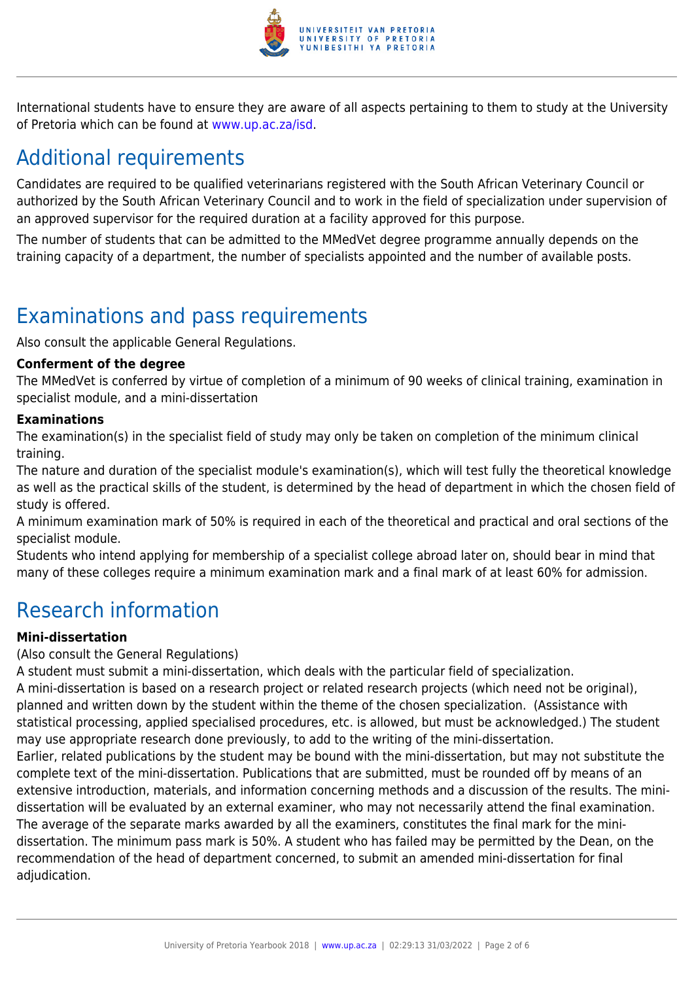

International students have to ensure they are aware of all aspects pertaining to them to study at the University of Pretoria which can be found at [www.up.ac.za/isd](http://www.up.ac.za/isd).

# Additional requirements

Candidates are required to be qualified veterinarians registered with the South African Veterinary Council or authorized by the South African Veterinary Council and to work in the field of specialization under supervision of an approved supervisor for the required duration at a facility approved for this purpose.

The number of students that can be admitted to the MMedVet degree programme annually depends on the training capacity of a department, the number of specialists appointed and the number of available posts.

## Examinations and pass requirements

Also consult the applicable General Regulations.

#### **Conferment of the degree**

The MMedVet is conferred by virtue of completion of a minimum of 90 weeks of clinical training, examination in specialist module, and a mini-dissertation

#### **Examinations**

The examination(s) in the specialist field of study may only be taken on completion of the minimum clinical training.

The nature and duration of the specialist module's examination(s), which will test fully the theoretical knowledge as well as the practical skills of the student, is determined by the head of department in which the chosen field of study is offered.

A minimum examination mark of 50% is required in each of the theoretical and practical and oral sections of the specialist module.

Students who intend applying for membership of a specialist college abroad later on, should bear in mind that many of these colleges require a minimum examination mark and a final mark of at least 60% for admission.

### Research information

#### **Mini-dissertation**

#### (Also consult the General Regulations)

A student must submit a mini-dissertation, which deals with the particular field of specialization. A mini-dissertation is based on a research project or related research projects (which need not be original), planned and written down by the student within the theme of the chosen specialization. (Assistance with statistical processing, applied specialised procedures, etc. is allowed, but must be acknowledged.) The student may use appropriate research done previously, to add to the writing of the mini-dissertation. Earlier, related publications by the student may be bound with the mini-dissertation, but may not substitute the complete text of the mini-dissertation. Publications that are submitted, must be rounded off by means of an extensive introduction, materials, and information concerning methods and a discussion of the results. The minidissertation will be evaluated by an external examiner, who may not necessarily attend the final examination. The average of the separate marks awarded by all the examiners, constitutes the final mark for the mini-

dissertation. The minimum pass mark is 50%. A student who has failed may be permitted by the Dean, on the recommendation of the head of department concerned, to submit an amended mini-dissertation for final adjudication.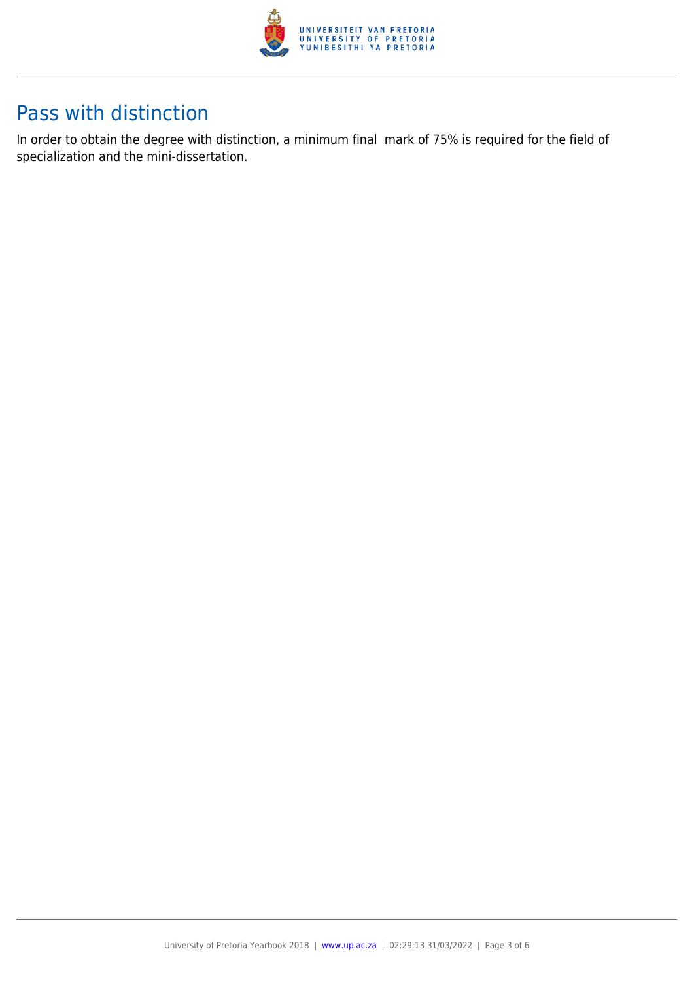

### Pass with distinction

In order to obtain the degree with distinction, a minimum final mark of 75% is required for the field of specialization and the mini-dissertation.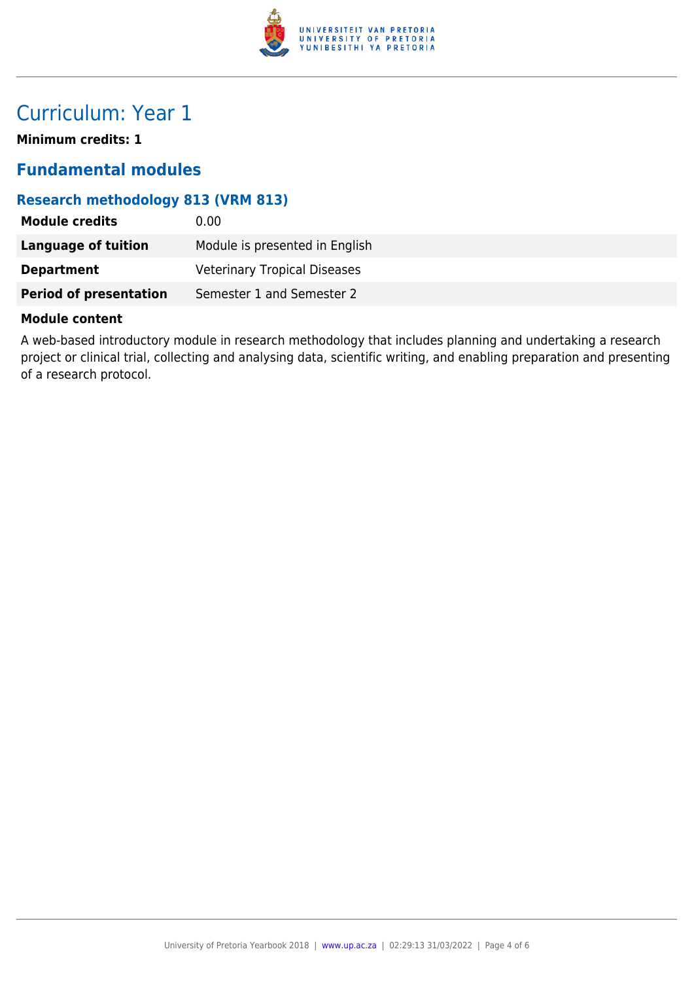

# Curriculum: Year 1

**Minimum credits: 1**

### **Fundamental modules**

### **Research methodology 813 (VRM 813)**

| <b>Module credits</b>         | 0.00                                |
|-------------------------------|-------------------------------------|
| <b>Language of tuition</b>    | Module is presented in English      |
| <b>Department</b>             | <b>Veterinary Tropical Diseases</b> |
| <b>Period of presentation</b> | Semester 1 and Semester 2           |

#### **Module content**

A web-based introductory module in research methodology that includes planning and undertaking a research project or clinical trial, collecting and analysing data, scientific writing, and enabling preparation and presenting of a research protocol.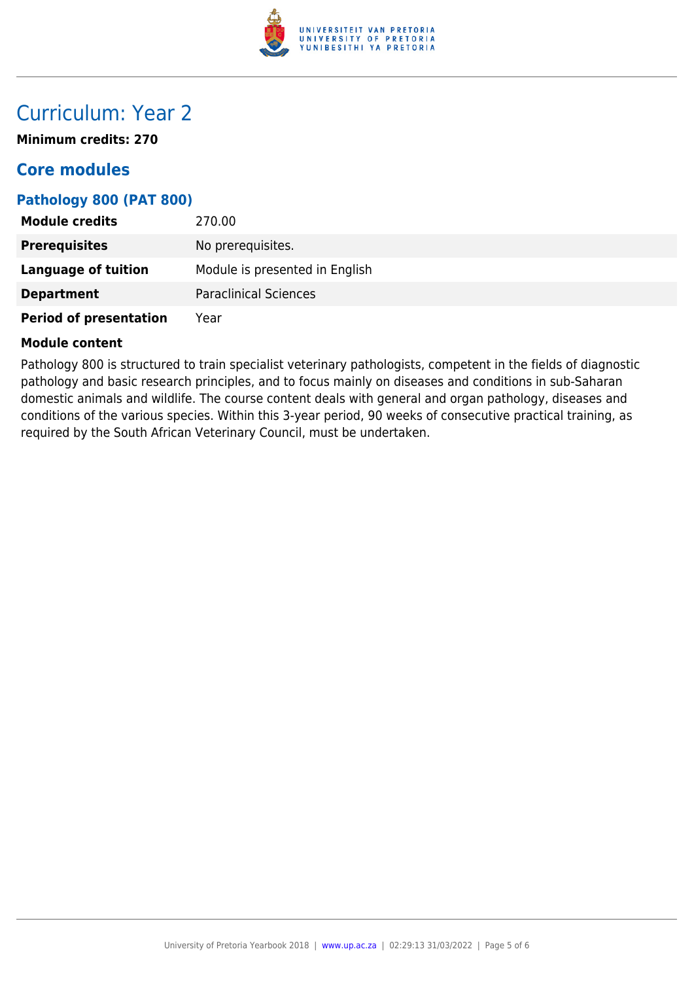

### Curriculum: Year 2

**Minimum credits: 270**

### **Core modules**

### **Pathology 800 (PAT 800)**

| <b>Module credits</b>         | 270.00                         |
|-------------------------------|--------------------------------|
| <b>Prerequisites</b>          | No prerequisites.              |
| <b>Language of tuition</b>    | Module is presented in English |
| <b>Department</b>             | <b>Paraclinical Sciences</b>   |
| <b>Period of presentation</b> | Year                           |

#### **Module content**

Pathology 800 is structured to train specialist veterinary pathologists, competent in the fields of diagnostic pathology and basic research principles, and to focus mainly on diseases and conditions in sub-Saharan domestic animals and wildlife. The course content deals with general and organ pathology, diseases and conditions of the various species. Within this 3-year period, 90 weeks of consecutive practical training, as required by the South African Veterinary Council, must be undertaken.